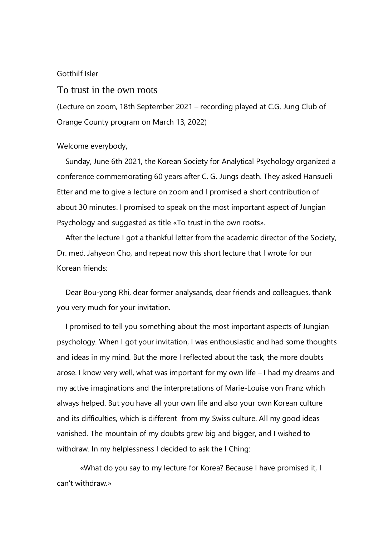## Gotthilf Isler

## To trust in the own roots

(Lecture on zoom, 18th September 2021 – recording played at C.G. Jung Club of Orange County program on March 13, 2022)

## Welcome everybody,

 Sunday, June 6th 2021, the Korean Society for Analytical Psychology organized a conference commemorating 60 years after C. G. Jungs death. They asked Hansueli Etter and me to give a lecture on zoom and I promised a short contribution of about 30 minutes. I promised to speak on the most important aspect of Jungian Psychology and suggested as title «To trust in the own roots».

 After the lecture I got a thankful letter from the academic director of the Society, Dr. med. Jahyeon Cho, and repeat now this short lecture that I wrote for our Korean friends:

 Dear Bou-yong Rhi, dear former analysands, dear friends and colleagues, thank you very much for your invitation.

 I promised to tell you something about the most important aspects of Jungian psychology. When I got your invitation, I was enthousiastic and had some thoughts and ideas in my mind. But the more I reflected about the task, the more doubts arose. I know very well, what was important for my own life – I had my dreams and my active imaginations and the interpretations of Marie-Louise von Franz which always helped. But you have all your own life and also your own Korean culture and its difficulties, which is different from my Swiss culture. All my good ideas vanished. The mountain of my doubts grew big and bigger, and I wished to withdraw. In my helplessness I decided to ask the I Ching:

«What do you say to my lecture for Korea? Because I have promised it, I can't withdraw.»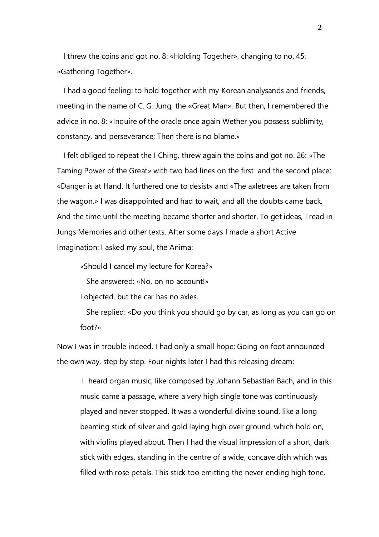I threw the coins and got no. 8: «Holding Together», changing to no. 45: «Gathering Together».

 I had a good feeling: to hold together with my Korean analysands and friends, meeting in the name of C. G. Jung, the «Great Man». But then, I remembered the advice in no. 8: «Inquire of the oracle once again Wether you possess sublimity, constancy, and perseverance; Then there is no blame.»

 I felt obliged to repeat the I Ching, threw again the coins and got no. 26: «The Taming Power of the Great» with two bad lines on the first and the second place: «Danger is at Hand. It furthered one to desist» and «The axletrees are taken from the wagon.» I was disappointed and had to wait, and all the doubts came back. And the time until the meeting became shorter and shorter. To get ideas, I read in Jungs Memories and other texts. After some days I made a short Active Imagination: I asked my soul, the Anima:

«Should I cancel my lecture for Korea?»

She answered: «No, on no account!»

I objected, but the car has no axles.

 She replied: «Do you think you should go by car, as long as you can go on foot?»

Now I was in trouble indeed. I had only a small hope: Going on foot announced the own way, step by step. Four nights later I had this releasing dream:

I heard organ music, like composed by Johann Sebastian Bach, and in this music came a passage, where a very high single tone was continuously played and never stopped. It was a wonderful divine sound, like a long beaming stick of silver and gold laying high over ground, which hold on, with violins played about. Then I had the visual impression of a short, dark stick with edges, standing in the centre of a wide, concave dish which was filled with rose petals. This stick too emitting the never ending high tone,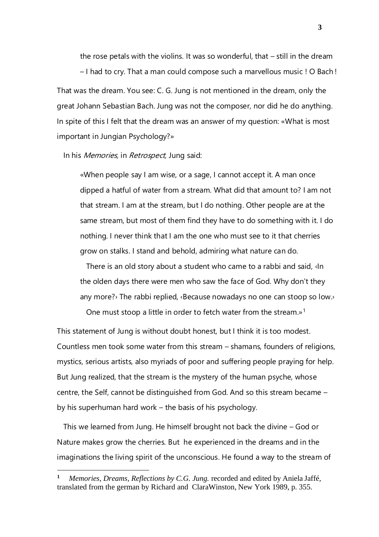the rose petals with the violins. It was so wonderful, that – still in the dream – I had to cry. That a man could compose such a marvellous music ! O Bach ! That was the dream. You see: C. G. Jung is not mentioned in the dream, only the great Johann Sebastian Bach. Jung was not the composer, nor did he do anything. In spite of this I felt that the dream was an answer of my question: «What is most important in Jungian Psychology?»

In his *Memories*, in *Retrospect*, Jung said:

«When people say I am wise, or a sage, I cannot accept it. A man once dipped a hatful of water from a stream. What did that amount to? I am not that stream. I am at the stream, but I do nothing. Other people are at the same stream, but most of them find they have to do something with it. I do nothing. I never think that I am the one who must see to it that cherries grow on stalks. I stand and behold, admiring what nature can do.

 There is an old story about a student who came to a rabbi and said, ‹In the olden days there were men who saw the face of God. Why don't they any more?› The rabbi replied, ‹Because nowadays no one can stoop so low.›

One must stoop a little in order to fetch water from the stream.»<sup>1</sup>

This statement of Jung is without doubt honest, but I think it is too modest. Countless men took some water from this stream – shamans, founders of religions, mystics, serious artists, also myriads of poor and suffering people praying for help. But Jung realized, that the stream is the mystery of the human psyche, whose centre, the Self, cannot be distinguished from God. And so this stream became – by his superhuman hard work – the basis of his psychology.

 This we learned from Jung. He himself brought not back the divine – God or Nature makes grow the cherries. But he experienced in the dreams and in the imaginations the living spirit of the unconscious. He found a way to the stream of

**<sup>1</sup>** *Memories, Dreams, Reflections by C.G. Jung.* recorded and edited by Aniela Jaffé*,* translated from the german by Richard and ClaraWinston, New York 1989, p. 355.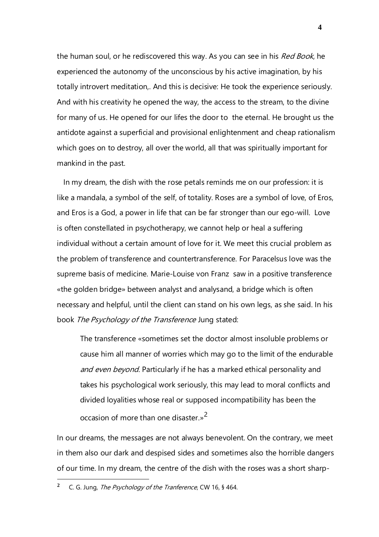the human soul, or he rediscovered this way. As you can see in his Red Book, he experienced the autonomy of the unconscious by his active imagination, by his totally introvert meditation,. And this is decisive: He took the experience seriously. And with his creativity he opened the way, the access to the stream, to the divine for many of us. He opened for our lifes the door to the eternal. He brought us the antidote against a superficial and provisional enlightenment and cheap rationalism which goes on to destroy, all over the world, all that was spiritually important for mankind in the past.

 In my dream, the dish with the rose petals reminds me on our profession: it is like a mandala, a symbol of the self, of totality. Roses are a symbol of love, of Eros, and Eros is a God, a power in life that can be far stronger than our ego-will. Love is often constellated in psychotherapy, we cannot help or heal a suffering individual without a certain amount of love for it. We meet this crucial problem as the problem of transference and countertransference. For Paracelsus love was the supreme basis of medicine. Marie-Louise von Franz saw in a positive transference «the golden bridge» between analyst and analysand, a bridge which is often necessary and helpful, until the client can stand on his own legs, as she said. In his book The Psychology of the Transference Jung stated:

The transference «sometimes set the doctor almost insoluble problems or cause him all manner of worries which may go to the limit of the endurable and even beyond. Particularly if he has a marked ethical personality and takes his psychological work seriously, this may lead to moral conflicts and divided loyalities whose real or supposed incompatibility has been the occasion of more than one disaster.»<sup>2</sup>

In our dreams, the messages are not always benevolent. On the contrary, we meet in them also our dark and despised sides and sometimes also the horrible dangers of our time. In my dream, the centre of the dish with the roses was a short sharp-

**<sup>2</sup>** C. G. Jung, The Psychology of the Tranference, CW 16, § 464.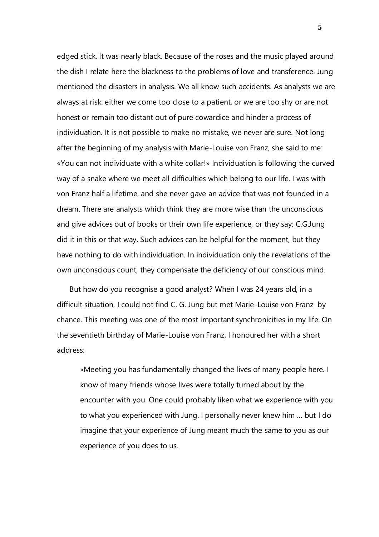edged stick. It was nearly black. Because of the roses and the music played around the dish I relate here the blackness to the problems of love and transference. Jung mentioned the disasters in analysis. We all know such accidents. As analysts we are always at risk: either we come too close to a patient, or we are too shy or are not honest or remain too distant out of pure cowardice and hinder a process of individuation. It is not possible to make no mistake, we never are sure. Not long after the beginning of my analysis with Marie-Louise von Franz, she said to me: «You can not individuate with a white collar!» Individuation is following the curved way of a snake where we meet all difficulties which belong to our life. I was with von Franz half a lifetime, and she never gave an advice that was not founded in a dream. There are analysts which think they are more wise than the unconscious and give advices out of books or their own life experience, or they say: C.G.Jung did it in this or that way. Such advices can be helpful for the moment, but they have nothing to do with individuation. In individuation only the revelations of the own unconscious count, they compensate the deficiency of our conscious mind.

 But how do you recognise a good analyst? When I was 24 years old, in a difficult situation, I could not find C. G. Jung but met Marie-Louise von Franz by chance. This meeting was one of the most important synchronicities in my life. On the seventieth birthday of Marie-Louise von Franz, I honoured her with a short address:

«Meeting you has fundamentally changed the lives of many people here. I know of many friends whose lives were totally turned about by the encounter with you. One could probably liken what we experience with you to what you experienced with Jung. I personally never knew him … but I do imagine that your experience of Jung meant much the same to you as our experience of you does to us.

**5**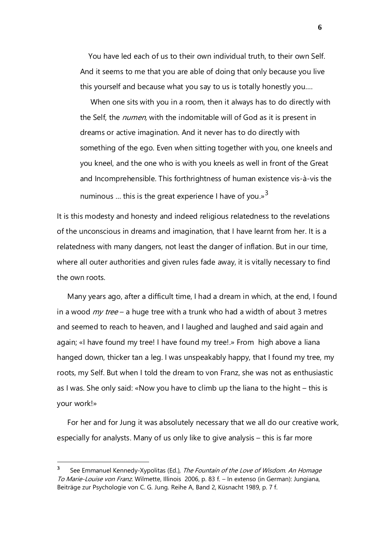You have led each of us to their own individual truth, to their own Self. And it seems to me that you are able of doing that only because you live this yourself and because what you say to us is totally honestly you.…

 When one sits with you in a room, then it always has to do directly with the Self, the *numen*, with the indomitable will of God as it is present in dreams or active imagination. And it never has to do directly with something of the ego. Even when sitting together with you, one kneels and you kneel, and the one who is with you kneels as well in front of the Great and Incomprehensible. This forthrightness of human existence vis-à-vis the numinous ... this is the great experience I have of you.»<sup>3</sup>

It is this modesty and honesty and indeed religious relatedness to the revelations of the unconscious in dreams and imagination, that I have learnt from her. It is a relatedness with many dangers, not least the danger of inflation. But in our time, where all outer authorities and given rules fade away, it is vitally necessary to find the own roots.

 Many years ago, after a difficult time, I had a dream in which, at the end, I found in a wood  $m\gamma$  tree – a huge tree with a trunk who had a width of about 3 metres and seemed to reach to heaven, and I laughed and laughed and said again and again; «I have found my tree! I have found my tree!.» From high above a liana hanged down, thicker tan a leg. I was unspeakably happy, that I found my tree, my roots, my Self. But when I told the dream to von Franz, she was not as enthusiastic as I was. She only said: «Now you have to climb up the liana to the hight – this is your work!»

 For her and for Jung it was absolutely necessary that we all do our creative work, especially for analysts. Many of us only like to give analysis – this is far more

**<sup>3</sup>** See Emmanuel Kennedy-Xypolitas (Ed.), The Fountain of the Love of Wisdom. An Homage To Marie-Louise von Franz. Wilmette, Illinois 2006, p. 83 f. – In extenso (in German): Jungiana, Beiträge zur Psychologie von C. G. Jung. Reihe A, Band 2, Küsnacht 1989, p. 7 f.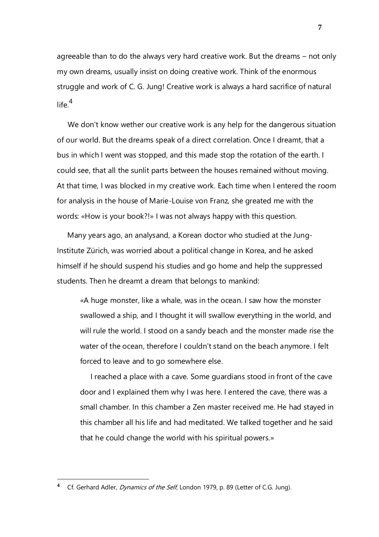agreeable than to do the always very hard creative work. But the dreams – not only my own dreams, usually insist on doing creative work. Think of the enormous struggle and work of C. G. Jung! Creative work is always a hard sacrifice of natural life. $4$ 

 We don't know wether our creative work is any help for the dangerous situation of our world. But the dreams speak of a direct correlation. Once I dreamt, that a bus in which I went was stopped, and this made stop the rotation of the earth. I could see, that all the sunlit parts between the houses remained without moving. At that time, I was blocked in my creative work. Each time when I entered the room for analysis in the house of Marie-Louise von Franz, she greated me with the words: «How is your book?!» I was not always happy with this question.

 Many years ago, an analysand, a Korean doctor who studied at the Jung-Institute Zürich, was worried about a political change in Korea, and he asked himself if he should suspend his studies and go home and help the suppressed students. Then he dreamt a dream that belongs to mankind:

«A huge monster, like a whale, was in the ocean. I saw how the monster swallowed a ship, and I thought it will swallow everything in the world, and will rule the world. I stood on a sandy beach and the monster made rise the water of the ocean, therefore I couldn't stand on the beach anymore. I felt forced to leave and to go somewhere else.

 I reached a place with a cave. Some guardians stood in front of the cave door and I explained them why I was here. I entered the cave, there was a small chamber. In this chamber a Zen master received me. He had stayed in this chamber all his life and had meditated. We talked together and he said that he could change the world with his spiritual powers.»

**<sup>4</sup>** Cf. Gerhard Adler, Dynamics of the Self, London 1979, p. 89 (Letter of C.G. Jung).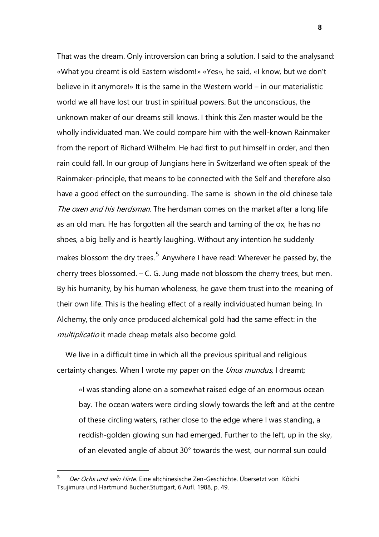That was the dream. Only introversion can bring a solution. I said to the analysand: «What you dreamt is old Eastern wisdom!» «Yes», he said, «I know, but we don't believe in it anymore!» It is the same in the Western world – in our materialistic world we all have lost our trust in spiritual powers. But the unconscious, the unknown maker of our dreams still knows. I think this Zen master would be the wholly individuated man. We could compare him with the well-known Rainmaker from the report of Richard Wilhelm. He had first to put himself in order, and then rain could fall. In our group of Jungians here in Switzerland we often speak of the Rainmaker-principle, that means to be connected with the Self and therefore also have a good effect on the surrounding. The same is shown in the old chinese tale The oxen and his herdsman. The herdsman comes on the market after a long life as an old man. He has forgotten all the search and taming of the ox, he has no shoes, a big belly and is heartly laughing. Without any intention he suddenly makes blossom the dry trees.<sup>5</sup> Anywhere I have read: Wherever he passed by, the cherry trees blossomed. – C. G. Jung made not blossom the cherry trees, but men. By his humanity, by his human wholeness, he gave them trust into the meaning of their own life. This is the healing effect of a really individuated human being. In Alchemy, the only once produced alchemical gold had the same effect: in the multiplicatio it made cheap metals also become gold.

 We live in a difficult time in which all the previous spiritual and religious certainty changes. When I wrote my paper on the *Unus mundus*, I dreamt;

«I was standing alone on a somewhat raised edge of an enormous ocean bay. The ocean waters were circling slowly towards the left and at the centre of these circling waters, rather close to the edge where I was standing, a reddish-golden glowing sun had emerged. Further to the left, up in the sky, of an elevated angle of about 30° towards the west, our normal sun could

**<sup>5</sup>** Der Ochs und sein Hirte. Eine altchinesische Zen-Geschichte. Übersetzt von Kôichi Tsujimura und Hartmund Bucher.Stuttgart, 6.Aufl. 1988, p. 49.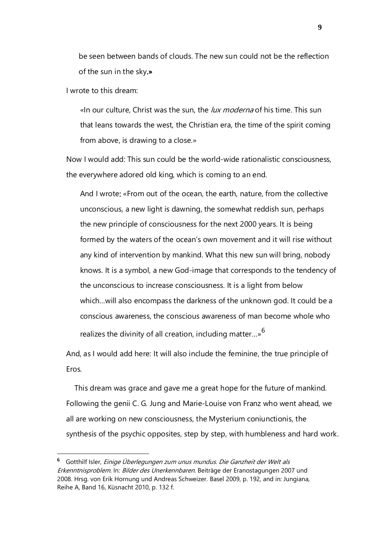be seen between bands of clouds. The new sun could not be the reflection of the sun in the sky.»

I wrote to this dream:

«In our culture, Christ was the sun, the *lux moderna* of his time. This sun that leans towards the west, the Christian era, the time of the spirit coming from above, is drawing to a close.»

Now I would add: This sun could be the world-wide rationalistic consciousness, the everywhere adored old king, which is coming to an end.

And I wrote: «From out of the ocean, the earth, nature, from the collective unconscious, a new light is dawning, the somewhat reddish sun, perhaps the new principle of consciousness for the next 2000 years. It is being formed by the waters of the ocean's own movement and it will rise without any kind of intervention by mankind. What this new sun will bring, nobody knows. It is a symbol, a new God-image that corresponds to the tendency of the unconscious to increase consciousness. It is a light from below which…will also encompass the darkness of the unknown god. It could be a conscious awareness, the conscious awareness of man become whole who realizes the divinity of all creation, including matter…»<sup>6</sup>

And, as I would add here: It will also include the feminine, the true principle of Eros.

 This dream was grace and gave me a great hope for the future of mankind. Following the genii C. G. Jung and Marie-Louise von Franz who went ahead, we all are working on new consciousness, the Mysterium coniunctionis, the synthesis of the psychic opposites, step by step, with humbleness and hard work.

**<sup>6</sup>** Gotthilf Isler, Einige Überlegungen zum unus mundus. Die Ganzheit der Welt als Erkenntnisproblem. In: Bilder des Unerkennbaren. Beiträge der Eranostagungen 2007 und 2008. Hrsg. von Erik Hornung und Andreas Schweizer. Basel 2009, p. 192, and in: Jungiana, Reihe A, Band 16, Küsnacht 2010, p. 132 f.